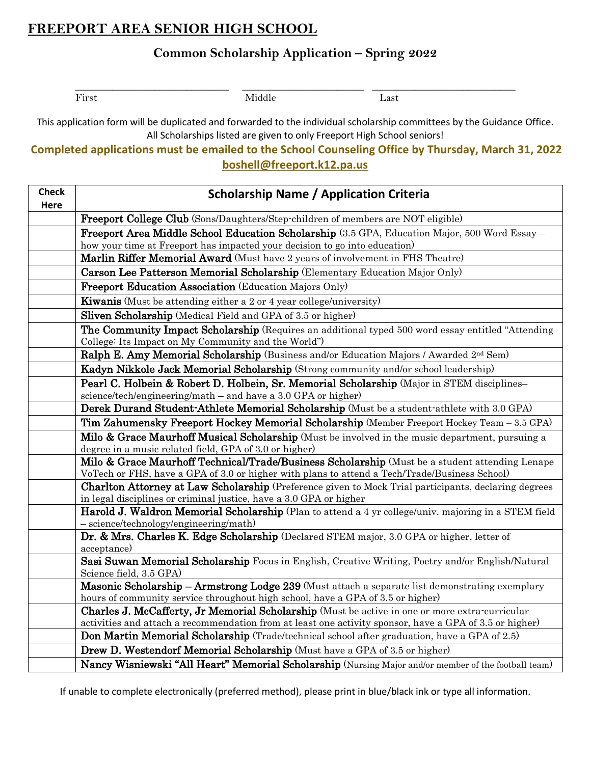# **FREEPORT AREA SENIOR HIGH SCHOOL**

### **Common Scholarship Application – Spring 2022**

\_\_\_\_\_\_\_\_\_\_\_\_\_\_\_\_\_\_\_\_\_\_\_\_\_\_\_\_\_ \_\_\_\_\_\_\_\_\_\_\_\_\_\_\_\_\_\_\_\_\_\_\_ \_\_\_\_\_\_\_\_\_\_\_\_\_\_\_\_\_\_\_\_\_\_\_\_\_\_\_ First Last

This application form will be duplicated and forwarded to the individual scholarship committees by the Guidance Office. All Scholarships listed are given to only Freeport High School seniors!

### **Completed applications must be emailed to the School Counseling Office by Thursday, March 31, 2022 boshell@freeport.k12.pa.us**

| <b>Check</b><br>Here | <b>Scholarship Name / Application Criteria</b>                                                                                                                                                          |
|----------------------|---------------------------------------------------------------------------------------------------------------------------------------------------------------------------------------------------------|
|                      | Freeport College Club (Sons/Daughters/Step-children of members are NOT eligible)                                                                                                                        |
|                      | <b>Freeport Area Middle School Education Scholarship</b> (3.5 GPA, Education Major, 500 Word Essay –                                                                                                    |
|                      | how your time at Freeport has impacted your decision to go into education)                                                                                                                              |
|                      | Marlin Riffer Memorial Award (Must have 2 years of involvement in FHS Theatre)                                                                                                                          |
|                      | Carson Lee Patterson Memorial Scholarship (Elementary Education Major Only)                                                                                                                             |
|                      | Freeport Education Association (Education Majors Only)                                                                                                                                                  |
|                      | Kiwanis (Must be attending either a 2 or 4 year college/university)                                                                                                                                     |
|                      | <b>Sliven Scholarship</b> (Medical Field and GPA of 3.5 or higher)                                                                                                                                      |
|                      | <b>The Community Impact Scholarship</b> (Requires an additional typed 500 word essay entitled "Attending")<br>College: Its Impact on My Community and the World")                                       |
|                      | Ralph E. Amy Memorial Scholarship (Business and/or Education Majors / Awarded 2nd Sem)                                                                                                                  |
|                      | Kadyn Nikkole Jack Memorial Scholarship (Strong community and/or school leadership)                                                                                                                     |
|                      | Pearl C. Holbein & Robert D. Holbein, Sr. Memorial Scholarship (Major in STEM disciplines-                                                                                                              |
|                      | science/tech/engineering/math - and have a 3.0 GPA or higher)                                                                                                                                           |
|                      | Derek Durand Student-Athlete Memorial Scholarship (Must be a student-athlete with 3.0 GPA)                                                                                                              |
|                      | Tim Zahumensky Freeport Hockey Memorial Scholarship (Member Freeport Hockey Team - 3.5 GPA)                                                                                                             |
|                      | Milo & Grace Maurhoff Musical Scholarship (Must be involved in the music department, pursuing a                                                                                                         |
|                      | degree in a music related field, GPA of 3.0 or higher)                                                                                                                                                  |
|                      | Milo & Grace Maurhoff Technical/Trade/Business Scholarship (Must be a student attending Lenape<br>VoTech or FHS, have a GPA of 3.0 or higher with plans to attend a Tech/Trade/Business School)         |
|                      | <b>Charlton Attorney at Law Scholarship</b> (Preference given to Mock Trial participants, declaring degrees                                                                                             |
|                      | in legal disciplines or criminal justice, have a 3.0 GPA or higher                                                                                                                                      |
|                      | Harold J. Waldron Memorial Scholarship (Plan to attend a 4 yr college/univ. majoring in a STEM field                                                                                                    |
|                      | - science/technology/engineering/math)                                                                                                                                                                  |
|                      | Dr. & Mrs. Charles K. Edge Scholarship (Declared STEM major, 3.0 GPA or higher, letter of<br>acceptance)                                                                                                |
|                      | Sasi Suwan Memorial Scholarship Focus in English, Creative Writing, Poetry and/or English/Natural                                                                                                       |
|                      | Science field, 3.5 GPA)                                                                                                                                                                                 |
|                      | Masonic Scholarship - Armstrong Lodge 239 (Must attach a separate list demonstrating exemplary                                                                                                          |
|                      | hours of community service throughout high school, have a GPA of 3.5 or higher)                                                                                                                         |
|                      | <b>Charles J. McCafferty, Jr Memorial Scholarship</b> (Must be active in one or more extra-curricular                                                                                                   |
|                      | activities and attach a recommendation from at least one activity sponsor, have a GPA of 3.5 or higher)<br>Don Martin Memorial Scholarship (Trade/technical school after graduation, have a GPA of 2.5) |
|                      |                                                                                                                                                                                                         |
|                      | <b>Drew D. Westendorf Memorial Scholarship</b> (Must have a GPA of 3.5 or higher)                                                                                                                       |
|                      | Nancy Wisniewski "All Heart" Memorial Scholarship (Nursing Major and/or member of the football team)                                                                                                    |

If unable to complete electronically (preferred method), please print in blue/black ink or type all information.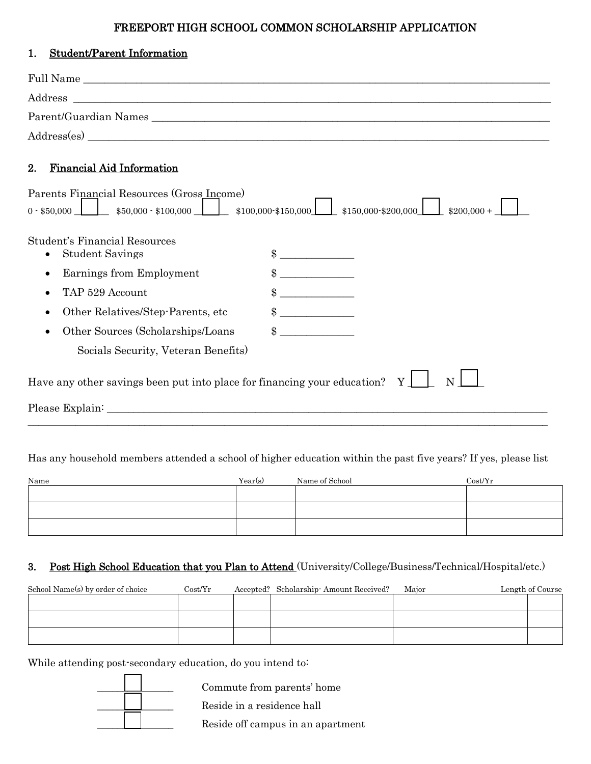#### FREEPORT HIGH SCHOOL COMMON SCHOLARSHIP APPLICATION

| <b>Student/Parent Information</b><br>1.                                  |                      |
|--------------------------------------------------------------------------|----------------------|
|                                                                          |                      |
|                                                                          |                      |
|                                                                          |                      |
|                                                                          |                      |
| 2.<br><b>Financial Aid Information</b>                                   |                      |
| Parents Financial Resources (Gross Income)                               | $$200,000+$          |
|                                                                          |                      |
| Student's Financial Resources                                            |                      |
| <b>Student Savings</b>                                                   | $\frac{1}{\sqrt{2}}$ |
| Earnings from Employment                                                 |                      |
| TAP 529 Account                                                          |                      |
| Other Relatives/Step-Parents, etc                                        | $\frac{1}{1}$        |
| Other Sources (Scholarships/Loans                                        | $\sim$               |
| Socials Security, Veteran Benefits)                                      |                      |
| Have any other savings been put into place for financing your education? | Y                    |
|                                                                          |                      |

#### Has any household members attended a school of higher education within the past five years? If yes, please list

| Name | Year(s) | Name of School | Cost/Yr |
|------|---------|----------------|---------|
|      |         |                |         |
|      |         |                |         |
|      |         |                |         |

#### 3. Post High School Education that you Plan to Attend (University/College/Business/Technical/Hospital/etc.)

| School Name(s) by order of choice | Cost/ Yr | Accepted? Scholarship Amount Received? | Major | Length of Course |
|-----------------------------------|----------|----------------------------------------|-------|------------------|
|                                   |          |                                        |       |                  |
|                                   |          |                                        |       |                  |
|                                   |          |                                        |       |                  |
|                                   |          |                                        |       |                  |

While attending post-secondary education, do you intend to:



Commute from parents' home<br>Reside in a residence hall<br>Reside off campus in an apart Reside in a residence hall

\_\_\_\_\_\_\_\_\_\_\_\_\_\_\_ Reside off campus in an apartment